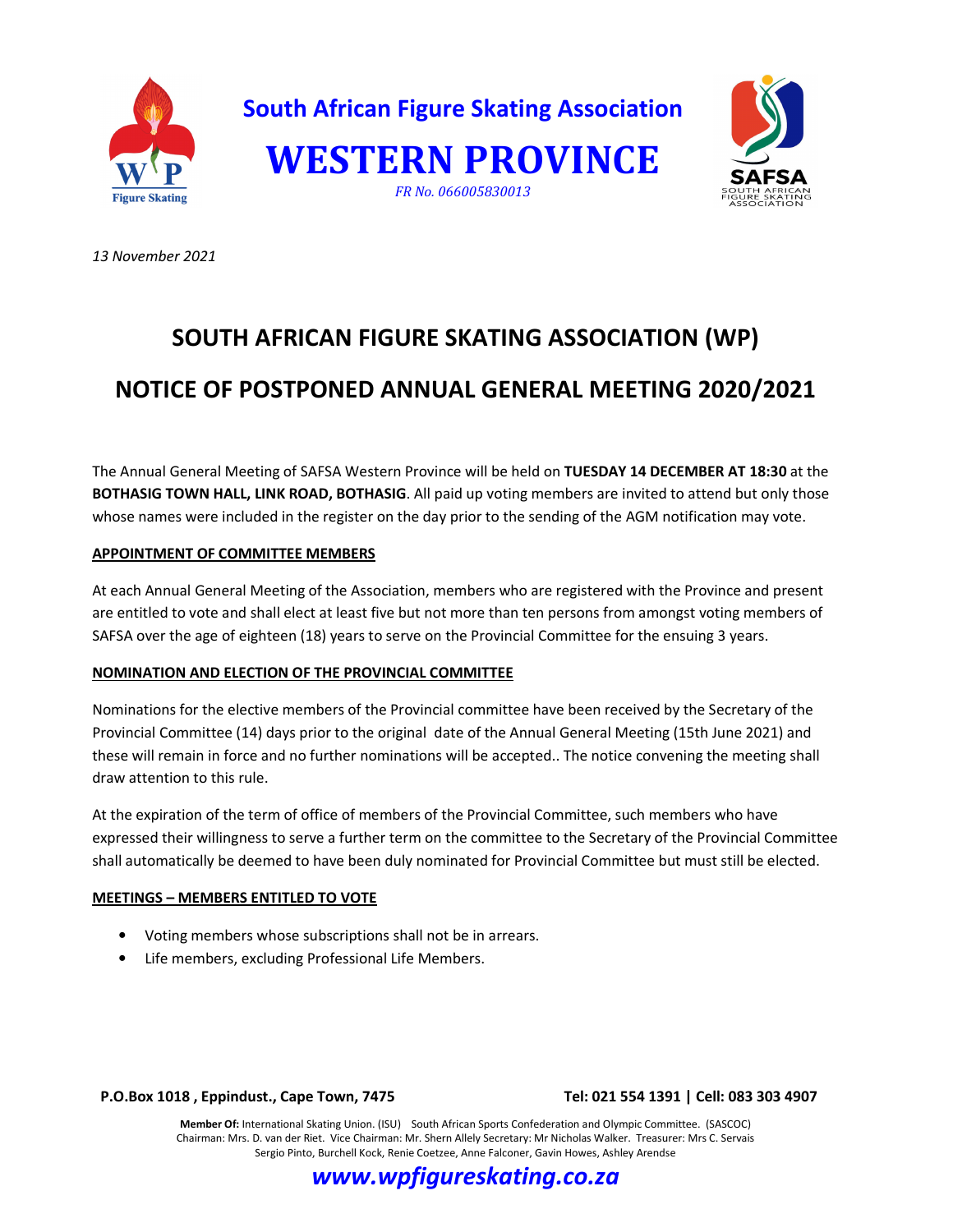

*13 November 2021* 

# **SOUTH AFRICAN FIGURE SKATING ASSOCIATION (WP) NOTICE OF POSTPONED ANNUAL GENERAL MEETING 2020/2021**

The Annual General Meeting of SAFSA Western Province will be held on **TUESDAY 14 DECEMBER AT 18:30** at the **BOTHASIG TOWN HALL, LINK ROAD, BOTHASIG**. All paid up voting members are invited to attend but only those whose names were included in the register on the day prior to the sending of the AGM notification may vote.

## **APPOINTMENT OF COMMITTEE MEMBERS**

At each Annual General Meeting of the Association, members who are registered with the Province and present are entitled to vote and shall elect at least five but not more than ten persons from amongst voting members of SAFSA over the age of eighteen (18) years to serve on the Provincial Committee for the ensuing 3 years.

## **NOMINATION AND ELECTION OF THE PROVINCIAL COMMITTEE**

Nominations for the elective members of the Provincial committee have been received by the Secretary of the Provincial Committee (14) days prior to the original date of the Annual General Meeting (15th June 2021) and these will remain in force and no further nominations will be accepted.. The notice convening the meeting shall draw attention to this rule.

At the expiration of the term of office of members of the Provincial Committee, such members who have expressed their willingness to serve a further term on the committee to the Secretary of the Provincial Committee shall automatically be deemed to have been duly nominated for Provincial Committee but must still be elected.

## **MEETINGS – MEMBERS ENTITLED TO VOTE**

- Voting members whose subscriptions shall not be in arrears.
- Life members, excluding Professional Life Members.

### **P.O.Box 1018 , Eppindust., Cape Town, 7475 Tel: 021 554 1391 | Cell: 083 303 4907**

**Member Of:** International Skating Union. (ISU) South African Sports Confederation and Olympic Committee. (SASCOC) Chairman: Mrs. D. van der Riet. Vice Chairman: Mr. Shern Allely Secretary: Mr Nicholas Walker. Treasurer: Mrs C. Servais Sergio Pinto, Burchell Kock, Renie Coetzee, Anne Falconer, Gavin Howes, Ashley Arendse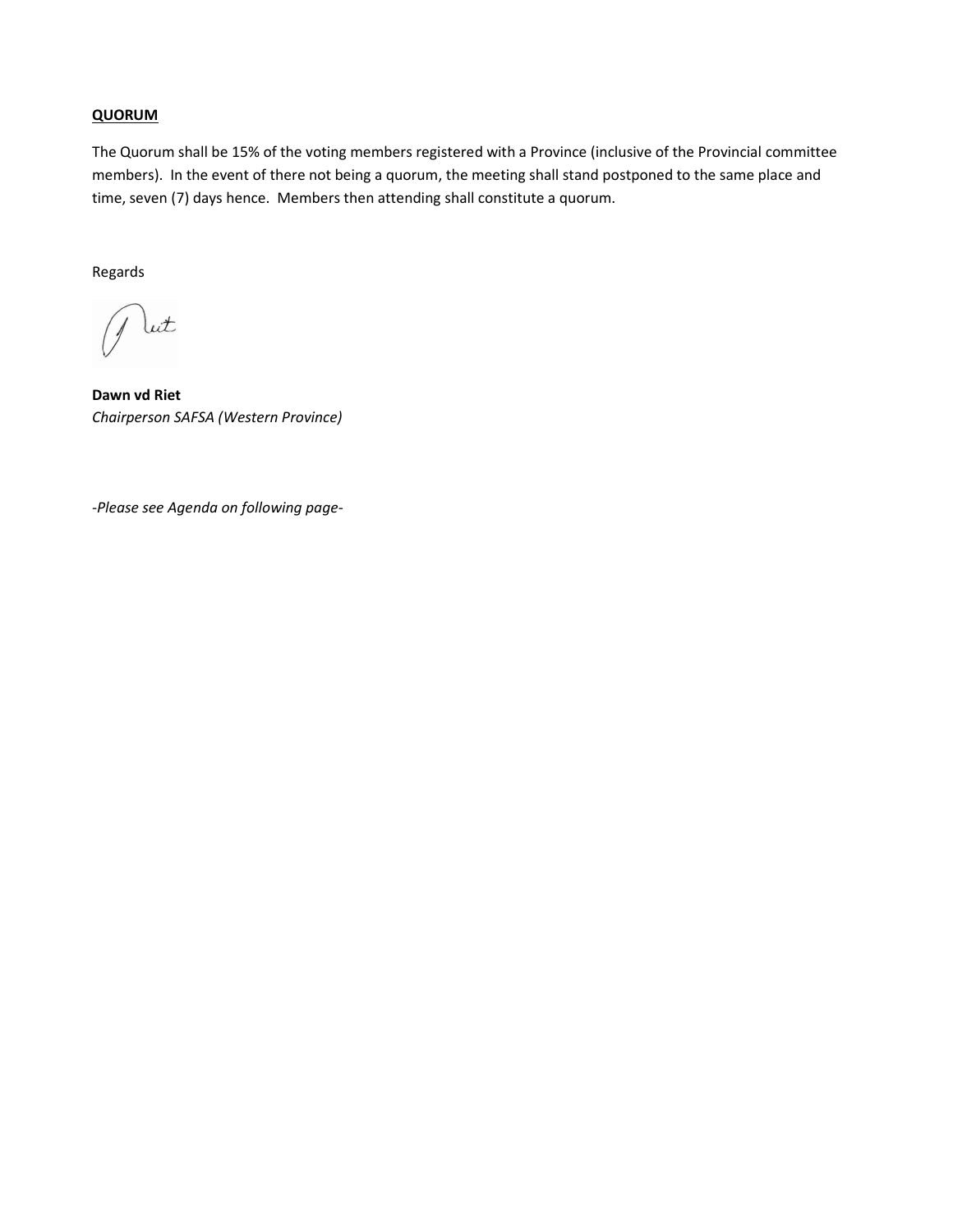## **QUORUM**

The Quorum shall be 15% of the voting members registered with a Province (inclusive of the Provincial committee members). In the event of there not being a quorum, the meeting shall stand postponed to the same place and time, seven (7) days hence. Members then attending shall constitute a quorum.

Regards

lut

**Dawn vd Riet**  *Chairperson SAFSA (Western Province)* 

*-Please see Agenda on following page-*